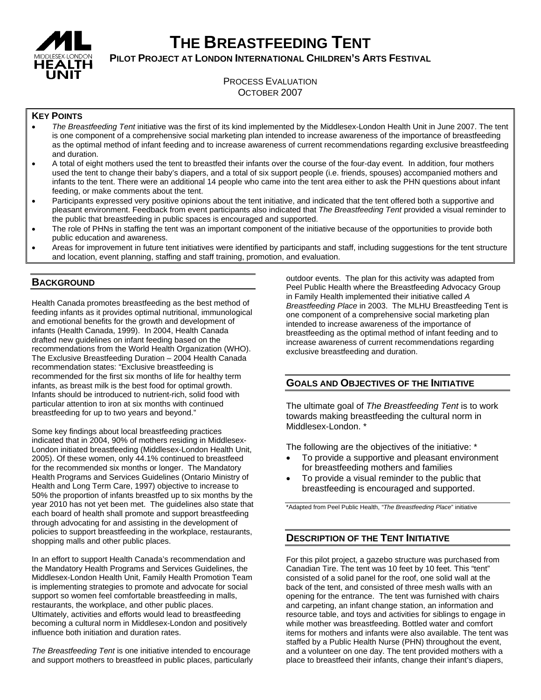

# **THE BREASTFEEDING TENT**

**PILOT PROJECT AT LONDON INTERNATIONAL CHILDREN'S ARTS FESTIVAL**

# PROCESS EVALUATION OCTOBER 2007

# **KEY POINTS**

- *The Breastfeeding Tent* initiative was the first of its kind implemented by the Middlesex-London Health Unit in June 2007. The tent is one component of a comprehensive social marketing plan intended to increase awareness of the importance of breastfeeding as the optimal method of infant feeding and to increase awareness of current recommendations regarding exclusive breastfeeding and duration.
- A total of eight mothers used the tent to breastfed their infants over the course of the four-day event. In addition, four mothers used the tent to change their baby's diapers, and a total of six support people (i.e. friends, spouses) accompanied mothers and infants to the tent. There were an additional 14 people who came into the tent area either to ask the PHN questions about infant feeding, or make comments about the tent.
- Participants expressed very positive opinions about the tent initiative, and indicated that the tent offered both a supportive and pleasant environment. Feedback from event participants also indicated that *The Breastfeeding Tent* provided a visual reminder to the public that breastfeeding in public spaces is encouraged and supported.
- The role of PHNs in staffing the tent was an important component of the initiative because of the opportunities to provide both public education and awareness.
- Areas for improvement in future tent initiatives were identified by participants and staff, including suggestions for the tent structure and location, event planning, staffing and staff training, promotion, and evaluation.

## **BACKGROUND**

Health Canada promotes breastfeeding as the best method of feeding infants as it provides optimal nutritional, immunological and emotional benefits for the growth and development of infants (Health Canada, 1999). In 2004, Health Canada drafted new guidelines on infant feeding based on the recommendations from the World Health Organization (WHO). The Exclusive Breastfeeding Duration – 2004 Health Canada recommendation states: "Exclusive breastfeeding is recommended for the first six months of life for healthy term infants, as breast milk is the best food for optimal growth. Infants should be introduced to nutrient-rich, solid food with particular attention to iron at six months with continued breastfeeding for up to two years and beyond."

Some key findings about local breastfeeding practices indicated that in 2004, 90% of mothers residing in Middlesex-London initiated breastfeeding (Middlesex-London Health Unit, 2005). Of these women, only 44.1% continued to breastfeed for the recommended six months or longer. The Mandatory Health Programs and Services Guidelines (Ontario Ministry of Health and Long Term Care, 1997) objective to increase to 50% the proportion of infants breastfed up to six months by the year 2010 has not yet been met. The guidelines also state that each board of health shall promote and support breastfeeding through advocating for and assisting in the development of policies to support breastfeeding in the workplace, restaurants, shopping malls and other public places.

In an effort to support Health Canada's recommendation and the Mandatory Health Programs and Services Guidelines, the Middlesex-London Health Unit, Family Health Promotion Team is implementing strategies to promote and advocate for social support so women feel comfortable breastfeeding in malls, restaurants, the workplace, and other public places. Ultimately, activities and efforts would lead to breastfeeding becoming a cultural norm in Middlesex-London and positively influence both initiation and duration rates.

*The Breastfeeding Tent* is one initiative intended to encourage and support mothers to breastfeed in public places, particularly outdoor events. The plan for this activity was adapted from Peel Public Health where the Breastfeeding Advocacy Group in Family Health implemented their initiative called *A Breastfeeding Place* in 2003. The MLHU Breastfeeding Tent is one component of a comprehensive social marketing plan intended to increase awareness of the importance of breastfeeding as the optimal method of infant feeding and to increase awareness of current recommendations regarding exclusive breastfeeding and duration.

# **GOALS AND OBJECTIVES OF THE INITIATIVE**

The ultimate goal of *The Breastfeeding Tent* is to work towards making breastfeeding the cultural norm in Middlesex-London. \*

The following are the objectives of the initiative: \*

- To provide a supportive and pleasant environment for breastfeeding mothers and families
- To provide a visual reminder to the public that breastfeeding is encouraged and supported.

\*Adapted from Peel Public Health, *"The Breastfeeding Place*" initiative

# **DESCRIPTION OF THE TENT INITIATIVE**

For this pilot project, a gazebo structure was purchased from Canadian Tire. The tent was 10 feet by 10 feet. This "tent" consisted of a solid panel for the roof, one solid wall at the back of the tent, and consisted of three mesh walls with an opening for the entrance. The tent was furnished with chairs and carpeting, an infant change station, an information and resource table, and toys and activities for siblings to engage in while mother was breastfeeding. Bottled water and comfort items for mothers and infants were also available. The tent was staffed by a Public Health Nurse (PHN) throughout the event, and a volunteer on one day. The tent provided mothers with a place to breastfeed their infants, change their infant's diapers,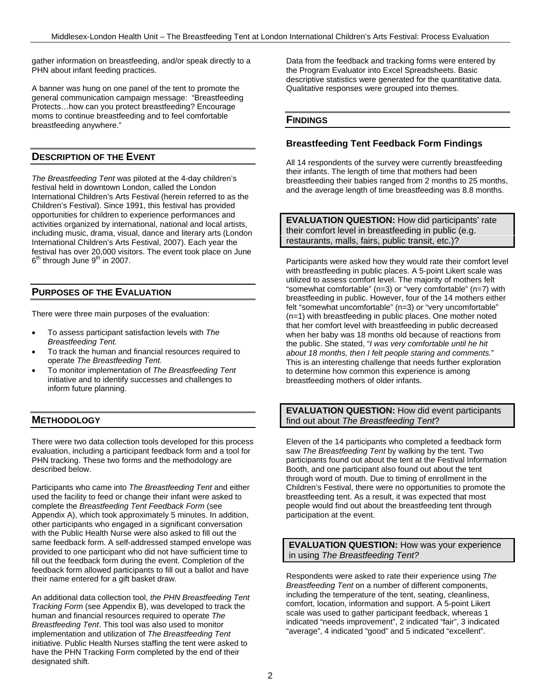gather information on breastfeeding, and/or speak directly to a PHN about infant feeding practices.

A banner was hung on one panel of the tent to promote the general communication campaign message: "Breastfeeding Protects…how can you protect breastfeeding? Encourage moms to continue breastfeeding and to feel comfortable breastfeeding anywhere."

# **DESCRIPTION OF THE EVENT**

*The Breastfeeding Tent* was piloted at the 4-day children's festival held in downtown London, called the London International Children's Arts Festival (herein referred to as the Children's Festival). Since 1991, this festival has provided opportunities for children to experience performances and activities organized by international, national and local artists, including music, drama, visual, dance and literary arts (London International Children's Arts Festival, 2007). Each year the festival has over 20,000 visitors. The event took place on June  $6<sup>th</sup>$  through June  $9<sup>th</sup>$  in 2007.

# **PURPOSES OF THE EVALUATION**

There were three main purposes of the evaluation:

- To assess participant satisfaction levels with *The Breastfeeding Tent.*
- To track the human and financial resources required to operate *The Breastfeeding Tent.*
- To monitor implementation of *The Breastfeeding Tent* initiative and to identify successes and challenges to inform future planning.

# **METHODOLOGY**

There were two data collection tools developed for this process evaluation, including a participant feedback form and a tool for PHN tracking. These two forms and the methodology are described below.

Participants who came into *The Breastfeeding Tent* and either used the facility to feed or change their infant were asked to complete the *Breastfeeding Tent Feedback Form* (see Appendix A), which took approximately 5 minutes. In addition, other participants who engaged in a significant conversation with the Public Health Nurse were also asked to fill out the same feedback form. A self-addressed stamped envelope was provided to one participant who did not have sufficient time to fill out the feedback form during the event. Completion of the feedback form allowed participants to fill out a ballot and have their name entered for a gift basket draw.

An additional data collection tool, *the PHN Breastfeeding Tent Tracking Form* (see Appendix B), was developed to track the human and financial resources required to operate *The Breastfeeding Tent*. This tool was also used to monitor implementation and utilization of *The Breastfeeding Tent* initiative. Public Health Nurses staffing the tent were asked to have the PHN Tracking Form completed by the end of their designated shift.

Data from the feedback and tracking forms were entered by the Program Evaluator into Excel Spreadsheets. Basic descriptive statistics were generated for the quantitative data. Qualitative responses were grouped into themes.

## **FINDINGS**

## **Breastfeeding Tent Feedback Form Findings**

All 14 respondents of the survey were currently breastfeeding their infants. The length of time that mothers had been breastfeeding their babies ranged from 2 months to 25 months, and the average length of time breastfeeding was 8.8 months.

**EVALUATION QUESTION:** How did participants' rate their comfort level in breastfeeding in public (e.g. restaurants, malls, fairs, public transit, etc.)?

Participants were asked how they would rate their comfort level with breastfeeding in public places. A 5-point Likert scale was utilized to assess comfort level. The majority of mothers felt "somewhat comfortable" (n=3) or "very comfortable" (n=7) with breastfeeding in public. However, four of the 14 mothers either felt "somewhat uncomfortable" (n=3) or "very uncomfortable" (n=1) with breastfeeding in public places. One mother noted that her comfort level with breastfeeding in public decreased when her baby was 18 months old because of reactions from the public. She stated, "*I was very comfortable until he hit about 18 months, then I felt people staring and comments.*" This is an interesting challenge that needs further exploration to determine how common this experience is among breastfeeding mothers of older infants.

## **EVALUATION QUESTION:** How did event participants find out about *The Breastfeeding Tent*?

Eleven of the 14 participants who completed a feedback form saw *The Breastfeeding Tent* by walking by the tent. Two participants found out about the tent at the Festival Information Booth, and one participant also found out about the tent through word of mouth. Due to timing of enrollment in the Children's Festival, there were no opportunities to promote the breastfeeding tent. As a result, it was expected that most people would find out about the breastfeeding tent through participation at the event.

**EVALUATION QUESTION:** How was your experience in using *The Breastfeeding Tent?*

Respondents were asked to rate their experience using *The Breastfeeding Tent* on a number of different components, including the temperature of the tent, seating, cleanliness, comfort, location, information and support. A 5-point Likert scale was used to gather participant feedback, whereas 1 indicated "needs improvement", 2 indicated "fair", 3 indicated "average", 4 indicated "good" and 5 indicated "excellent".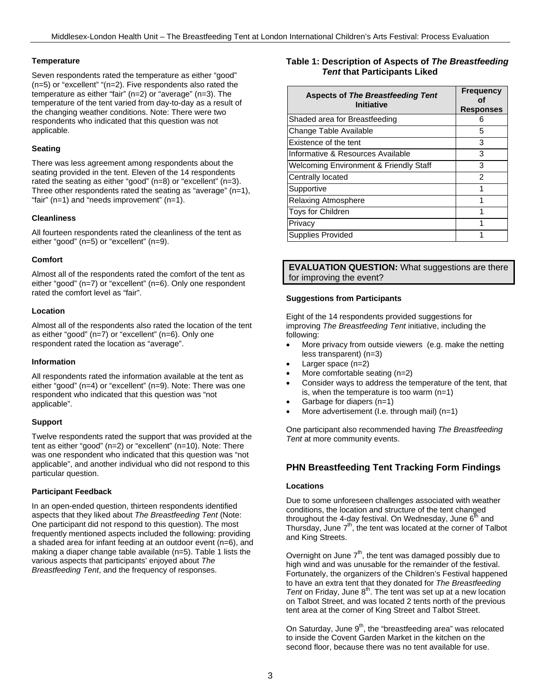## **Temperature**

Seven respondents rated the temperature as either "good" (n=5) or "excellent" "(n=2). Five respondents also rated the temperature as either "fair" (n=2) or "average" (n=3). The temperature of the tent varied from day-to-day as a result of the changing weather conditions. Note: There were two respondents who indicated that this question was not applicable.

## **Seating**

There was less agreement among respondents about the seating provided in the tent. Eleven of the 14 respondents rated the seating as either "good" (n=8) or "excellent" (n=3). Three other respondents rated the seating as "average"  $(n=1)$ , "fair" (n=1) and "needs improvement" (n=1).

### **Cleanliness**

All fourteen respondents rated the cleanliness of the tent as either "good" (n=5) or "excellent" (n=9).

## **Comfort**

Almost all of the respondents rated the comfort of the tent as either "good" (n=7) or "excellent" (n=6). Only one respondent rated the comfort level as "fair".

### **Location**

Almost all of the respondents also rated the location of the tent as either "good" (n=7) or "excellent" (n=6). Only one respondent rated the location as "average".

### **Information**

All respondents rated the information available at the tent as either "good" (n=4) or "excellent" (n=9). Note: There was one respondent who indicated that this question was "not applicable".

### **Support**

Twelve respondents rated the support that was provided at the tent as either "good" (n=2) or "excellent" (n=10). Note: There was one respondent who indicated that this question was "not applicable", and another individual who did not respond to this particular question.

### **Participant Feedback**

In an open-ended question, thirteen respondents identified aspects that they liked about *The Breastfeeding Tent* (Note: One participant did not respond to this question). The most frequently mentioned aspects included the following: providing a shaded area for infant feeding at an outdoor event (n=6), and making a diaper change table available (n=5). Table 1 lists the various aspects that participants' enjoyed about *The Breastfeeding Tent*, and the frequency of responses.

## **Table 1: Description of Aspects of** *The Breastfeeding Tent* **that Participants Liked**

| <b>Aspects of The Breastfeeding Tent</b><br><b>Initiative</b> | <b>Frequency</b><br><b>Responses</b> |
|---------------------------------------------------------------|--------------------------------------|
| Shaded area for Breastfeeding                                 | Ⴌ                                    |
| Change Table Available                                        | 5                                    |
| Existence of the tent                                         | 3                                    |
| Informative & Resources Available                             | 3                                    |
| Welcoming Environment & Friendly Staff                        | 3                                    |
| Centrally located                                             | 2                                    |
| Supportive                                                    | 1                                    |
| <b>Relaxing Atmosphere</b>                                    | 1                                    |
| <b>Toys for Children</b>                                      |                                      |
| Privacy                                                       |                                      |
| <b>Supplies Provided</b>                                      |                                      |

**EVALUATION QUESTION:** What suggestions are there for improving the event?

### **Suggestions from Participants**

Eight of the 14 respondents provided suggestions for improving *The Breastfeeding Tent* initiative, including the following:

- More privacy from outside viewers (e.g. make the netting less transparent) (n=3)
- Larger space (n=2)
- More comfortable seating (n=2)
- Consider ways to address the temperature of the tent, that is, when the temperature is too warm (n=1)
- Garbage for diapers (n=1)
- More advertisement (I.e. through mail) (n=1)

One participant also recommended having *The Breastfeeding Tent* at more community events.

# **PHN Breastfeeding Tent Tracking Form Findings**

### **Locations**

Due to some unforeseen challenges associated with weather conditions, the location and structure of the tent changed throughout the 4-day festival. On Wednesday, June  $6<sup>th</sup>$  and Thursday, June  $7<sup>th</sup>$ , the tent was located at the corner of Talbot and King Streets.

Overnight on June  $7<sup>th</sup>$ , the tent was damaged possibly due to high wind and was unusable for the remainder of the festival. Fortunately, the organizers of the Children's Festival happened to have an extra tent that they donated for *The Breastfeeding* Tent on Friday, June 8<sup>th</sup>. The tent was set up at a new location on Talbot Street, and was located 2 tents north of the previous tent area at the corner of King Street and Talbot Street.

On Saturday, June  $9<sup>th</sup>$ , the "breastfeeding area" was relocated to inside the Covent Garden Market in the kitchen on the second floor, because there was no tent available for use.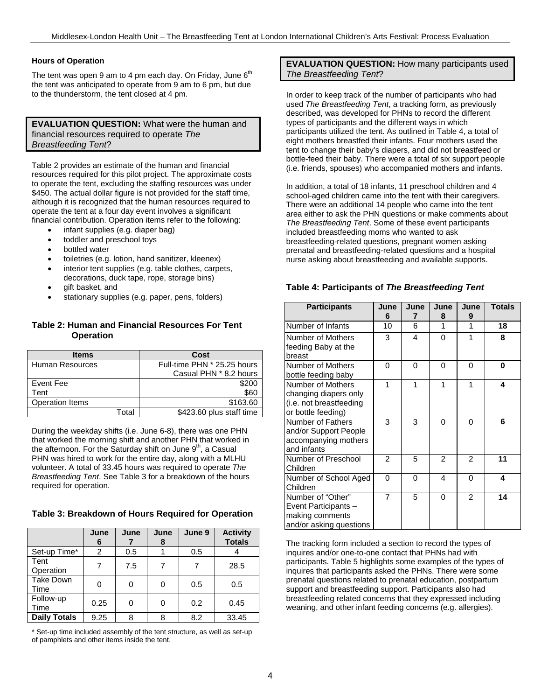## **Hours of Operation**

The tent was open 9 am to 4 pm each day. On Friday, June  $6<sup>th</sup>$ the tent was anticipated to operate from 9 am to 6 pm, but due to the thunderstorm, the tent closed at 4 pm.

## **EVALUATION QUESTION:** What were the human and financial resources required to operate *The Breastfeeding Tent*?

Table 2 provides an estimate of the human and financial resources required for this pilot project. The approximate costs to operate the tent, excluding the staffing resources was under \$450. The actual dollar figure is not provided for the staff time, although it is recognized that the human resources required to operate the tent at a four day event involves a significant financial contribution. Operation items refer to the following:

- infant supplies (e.g. diaper bag)
- toddler and preschool toys
- bottled water
- toiletries (e.g. lotion, hand sanitizer, kleenex)
- interior tent supplies (e.g. table clothes, carpets, decorations, duck tape, rope, storage bins)
- gift basket, and
- stationary supplies (e.g. paper, pens, folders)

## **Table 2: Human and Financial Resources For Tent Operation**

| <b>Items</b>           | Cost                        |
|------------------------|-----------------------------|
| Human Resources        | Full-time PHN * 25.25 hours |
|                        | Casual PHN * 8.2 hours      |
| Event Fee              | \$200                       |
| Tent                   | \$60                        |
| <b>Operation Items</b> | \$163.60                    |
| Total                  | \$423.60 plus staff time    |

During the weekday shifts (i.e. June 6-8), there was one PHN that worked the morning shift and another PHN that worked in the afternoon. For the Saturday shift on June  $9<sup>th</sup>$ , a Casual PHN was hired to work for the entire day, along with a MLHU volunteer. A total of 33.45 hours was required to operate *The Breastfeeding Tent*. See Table 3 for a breakdown of the hours required for operation.

### **Table 3: Breakdown of Hours Required for Operation**

|                          | June<br>6 | June | June<br>8 | June 9 | <b>Activity</b><br><b>Totals</b> |
|--------------------------|-----------|------|-----------|--------|----------------------------------|
| Set-up Time*             | 2         | 0.5  |           | 0.5    |                                  |
| Tent<br>Operation        |           | 7.5  |           |        | 28.5                             |
| <b>Take Down</b><br>Time | 0         | O    |           | 0.5    | 0.5                              |
| Follow-up<br>Time        | 0.25      | ∩    | ი         | 0.2    | 0.45                             |
| <b>Daily Totals</b>      | 9.25      | ጸ    | 8         | 8.2    | 33.45                            |

\* Set-up time included assembly of the tent structure, as well as set-up of pamphlets and other items inside the tent.

## **EVALUATION QUESTION:** How many participants used *The Breastfeeding Tent*?

In order to keep track of the number of participants who had used *The Breastfeeding Tent*, a tracking form, as previously described, was developed for PHNs to record the different types of participants and the different ways in which participants utilized the tent. As outlined in Table 4, a total of eight mothers breastfed their infants. Four mothers used the tent to change their baby's diapers, and did not breastfeed or bottle-feed their baby. There were a total of six support people (i.e. friends, spouses) who accompanied mothers and infants.

In addition, a total of 18 infants, 11 preschool children and 4 school-aged children came into the tent with their caregivers. There were an additional 14 people who came into the tent area either to ask the PHN questions or make comments about *The Breastfeeding Tent*. Some of these event participants included breastfeeding moms who wanted to ask breastfeeding-related questions, pregnant women asking prenatal and breastfeeding-related questions and a hospital nurse asking about breastfeeding and available supports.

## **Table 4: Participants of** *The Breastfeeding Tent*

| <b>Participants</b>                                                                         | June<br>6      | June<br>7 | June<br>8      | June<br>9      | <b>Totals</b> |
|---------------------------------------------------------------------------------------------|----------------|-----------|----------------|----------------|---------------|
| Number of Infants                                                                           | 10             | 6         | 1              | 1              | 18            |
| Number of Mothers<br>feeding Baby at the<br>breast                                          | 3              | 4         | 0              | 1              | 8             |
| Number of Mothers<br>bottle feeding baby                                                    | $\Omega$       | 0         | 0              | 0              | 0             |
| Number of Mothers<br>changing diapers only<br>(i.e. not breastfeeding<br>or bottle feeding) | 1              | 1         | 1              | 1              | 4             |
| Number of Fathers<br>and/or Support People<br>accompanying mothers<br>and infants           | 3              | 3         | 0              | 0              | 6             |
| Number of Preschool<br>Children                                                             | 2              | 5         | $\overline{2}$ | $\overline{2}$ | 11            |
| Number of School Aged<br>Children                                                           | $\Omega$       | 0         | 4              | 0              | 4             |
| Number of "Other"<br>Event Participants -<br>making comments<br>and/or asking questions     | $\overline{7}$ | 5         | 0              | $\overline{2}$ | 14            |

The tracking form included a section to record the types of inquires and/or one-to-one contact that PHNs had with participants. Table 5 highlights some examples of the types of inquires that participants asked the PHNs. There were some prenatal questions related to prenatal education, postpartum support and breastfeeding support. Participants also had breastfeeding related concerns that they expressed including weaning, and other infant feeding concerns (e.g. allergies).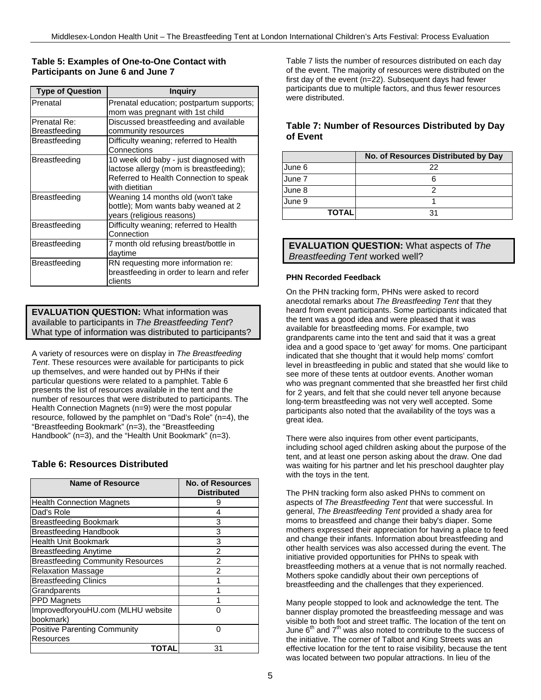## **Table 5: Examples of One-to-One Contact with Participants on June 6 and June 7**

| <b>Type of Question</b> | <b>Inguiry</b>                                                                                                                                |
|-------------------------|-----------------------------------------------------------------------------------------------------------------------------------------------|
| Prenatal                | Prenatal education; postpartum supports;<br>mom was pregnant with 1st child                                                                   |
| Prenatal Re:            | Discussed breastfeeding and available                                                                                                         |
| Breastfeeding           | community resources                                                                                                                           |
| Breastfeeding           | Difficulty weaning; referred to Health<br>Connections                                                                                         |
| Breastfeeding           | 10 week old baby - just diagnosed with<br>lactose allergy (mom is breastfeeding);<br>Referred to Health Connection to speak<br>with dietitian |
| Breastfeeding           | Weaning 14 months old (won't take<br>bottle); Mom wants baby weaned at 2<br>years (religious reasons)                                         |
| Breastfeeding           | Difficulty weaning; referred to Health<br>Connection                                                                                          |
| Breastfeeding           | 7 month old refusing breast/bottle in<br>daytime                                                                                              |
| Breastfeeding           | RN requesting more information re:<br>breastfeeding in order to learn and refer<br>clients                                                    |

## **EVALUATION QUESTION:** What information was available to participants in *The Breastfeeding Tent*? What type of information was distributed to participants?

A variety of resources were on display in *The Breastfeeding Tent*. These resources were available for participants to pick up themselves, and were handed out by PHNs if their particular questions were related to a pamphlet. Table 6 presents the list of resources available in the tent and the number of resources that were distributed to participants. The Health Connection Magnets (n=9) were the most popular resource, followed by the pamphlet on "Dad's Role" (n=4), the "Breastfeeding Bookmark" (n=3), the "Breastfeeding Handbook" (n=3), and the "Health Unit Bookmark" (n=3).

# **Table 6: Resources Distributed**

| Name of Resource                         | No. of Resources<br><b>Distributed</b> |
|------------------------------------------|----------------------------------------|
| <b>Health Connection Magnets</b>         | 9                                      |
| Dad's Role                               | 4                                      |
| <b>Breastfeeding Bookmark</b>            | 3                                      |
| <b>Breastfeeding Handbook</b>            | 3                                      |
| Health Unit Bookmark                     | 3                                      |
| <b>Breastfeeding Anytime</b>             | 2                                      |
| <b>Breastfeeding Community Resources</b> | 2                                      |
| <b>Relaxation Massage</b>                | 2                                      |
| <b>Breastfeeding Clinics</b>             |                                        |
| Grandparents                             |                                        |
| <b>PPD Magnets</b>                       |                                        |
| ImprovedforyouHU.com (MLHU website       |                                        |
| bookmark)                                |                                        |
| Positive Parenting Community             | ∩                                      |
| Resources                                |                                        |
| ΤΟΤΑΙ                                    | 31                                     |

Table 7 lists the number of resources distributed on each day of the event. The majority of resources were distributed on the first day of the event (n=22). Subsequent days had fewer participants due to multiple factors, and thus fewer resources were distributed.

# **Table 7: Number of Resources Distributed by Day of Event**

|              | No. of Resources Distributed by Day |
|--------------|-------------------------------------|
| June 6       | 22                                  |
| June 7       |                                     |
| June 8       |                                     |
| June 9       |                                     |
| <b>TOTAL</b> | ا ?                                 |

**EVALUATION QUESTION:** What aspects of *The Breastfeeding Tent* worked well?

## **PHN Recorded Feedback**

On the PHN tracking form, PHNs were asked to record anecdotal remarks about *The Breastfeeding Tent* that they heard from event participants. Some participants indicated that the tent was a good idea and were pleased that it was available for breastfeeding moms. For example, two grandparents came into the tent and said that it was a great idea and a good space to 'get away' for moms. One participant indicated that she thought that it would help moms' comfort level in breastfeeding in public and stated that she would like to see more of these tents at outdoor events. Another woman who was pregnant commented that she breastfed her first child for 2 years, and felt that she could never tell anyone because long-term breastfeeding was not very well accepted. Some participants also noted that the availability of the toys was a great idea.

There were also inquires from other event participants, including school aged children asking about the purpose of the tent, and at least one person asking about the draw. One dad was waiting for his partner and let his preschool daughter play with the toys in the tent.

The PHN tracking form also asked PHNs to comment on aspects of *The Breastfeeding Tent* that were successful. In general, *The Breastfeeding Tent* provided a shady area for moms to breastfeed and change their baby's diaper. Some mothers expressed their appreciation for having a place to feed and change their infants. Information about breastfeeding and other health services was also accessed during the event. The initiative provided opportunities for PHNs to speak with breastfeeding mothers at a venue that is not normally reached. Mothers spoke candidly about their own perceptions of breastfeeding and the challenges that they experienced.

Many people stopped to look and acknowledge the tent. The banner display promoted the breastfeeding message and was visible to both foot and street traffic. The location of the tent on June  $6<sup>th</sup>$  and  $7<sup>th</sup>$  was also noted to contribute to the success of the initiative. The corner of Talbot and King Streets was an effective location for the tent to raise visibility, because the tent was located between two popular attractions. In lieu of the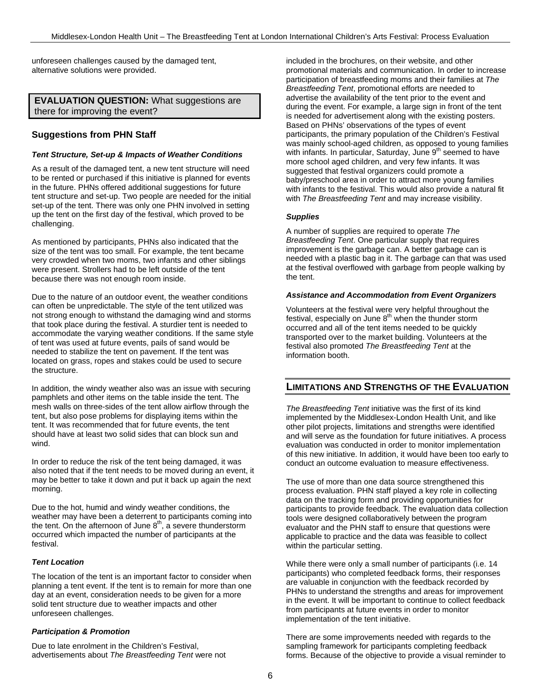unforeseen challenges caused by the damaged tent, alternative solutions were provided.

**EVALUATION QUESTION:** What suggestions are there for improving the event?

## **Suggestions from PHN Staff**

#### *Tent Structure, Set-up & Impacts of Weather Conditions*

As a result of the damaged tent, a new tent structure will need to be rented or purchased if this initiative is planned for events in the future. PHNs offered additional suggestions for future tent structure and set-up. Two people are needed for the initial set-up of the tent. There was only one PHN involved in setting up the tent on the first day of the festival, which proved to be challenging.

As mentioned by participants, PHNs also indicated that the size of the tent was too small. For example, the tent became very crowded when two moms, two infants and other siblings were present. Strollers had to be left outside of the tent because there was not enough room inside.

Due to the nature of an outdoor event, the weather conditions can often be unpredictable. The style of the tent utilized was not strong enough to withstand the damaging wind and storms that took place during the festival. A sturdier tent is needed to accommodate the varying weather conditions. If the same style of tent was used at future events, pails of sand would be needed to stabilize the tent on pavement. If the tent was located on grass, ropes and stakes could be used to secure the structure.

In addition, the windy weather also was an issue with securing pamphlets and other items on the table inside the tent. The mesh walls on three-sides of the tent allow airflow through the tent, but also pose problems for displaying items within the tent. It was recommended that for future events, the tent should have at least two solid sides that can block sun and wind.

In order to reduce the risk of the tent being damaged, it was also noted that if the tent needs to be moved during an event, it may be better to take it down and put it back up again the next morning.

Due to the hot, humid and windy weather conditions, the weather may have been a deterrent to participants coming into the tent. On the afternoon of June  $8<sup>th</sup>$ , a severe thunderstorm occurred which impacted the number of participants at the festival.

### *Tent Location*

The location of the tent is an important factor to consider when planning a tent event. If the tent is to remain for more than one day at an event, consideration needs to be given for a more solid tent structure due to weather impacts and other unforeseen challenges.

### *Participation & Promotion*

Due to late enrolment in the Children's Festival, advertisements about *The Breastfeeding Tent* were not

included in the brochures, on their website, and other promotional materials and communication. In order to increase participation of breastfeeding moms and their families at *The Breastfeeding Tent*, promotional efforts are needed to advertise the availability of the tent prior to the event and during the event. For example, a large sign in front of the tent is needed for advertisement along with the existing posters. Based on PHNs' observations of the types of event participants, the primary population of the Children's Festival was mainly school-aged children, as opposed to young families with infants. In particular, Saturday, June 9<sup>th</sup> seemed to have more school aged children, and very few infants. It was suggested that festival organizers could promote a baby/preschool area in order to attract more young families with infants to the festival. This would also provide a natural fit with *The Breastfeeding Tent* and may increase visibility.

### *Supplies*

A number of supplies are required to operate *The Breastfeeding Tent*. One particular supply that requires improvement is the garbage can. A better garbage can is needed with a plastic bag in it. The garbage can that was used at the festival overflowed with garbage from people walking by the tent.

#### *Assistance and Accommodation from Event Organizers*

Volunteers at the festival were very helpful throughout the festival, especially on June  $8<sup>th</sup>$  when the thunder storm occurred and all of the tent items needed to be quickly transported over to the market building. Volunteers at the festival also promoted *The Breastfeeding Tent* at the information booth.

## **LIMITATIONS AND STRENGTHS OF THE EVALUATION**

*The Breastfeeding Tent* initiative was the first of its kind implemented by the Middlesex-London Health Unit, and like other pilot projects, limitations and strengths were identified and will serve as the foundation for future initiatives. A process evaluation was conducted in order to monitor implementation of this new initiative. In addition, it would have been too early to conduct an outcome evaluation to measure effectiveness.

The use of more than one data source strengthened this process evaluation. PHN staff played a key role in collecting data on the tracking form and providing opportunities for participants to provide feedback. The evaluation data collection tools were designed collaboratively between the program evaluator and the PHN staff to ensure that questions were applicable to practice and the data was feasible to collect within the particular setting.

While there were only a small number of participants (i.e. 14 participants) who completed feedback forms, their responses are valuable in conjunction with the feedback recorded by PHNs to understand the strengths and areas for improvement in the event. It will be important to continue to collect feedback from participants at future events in order to monitor implementation of the tent initiative.

There are some improvements needed with regards to the sampling framework for participants completing feedback forms. Because of the objective to provide a visual reminder to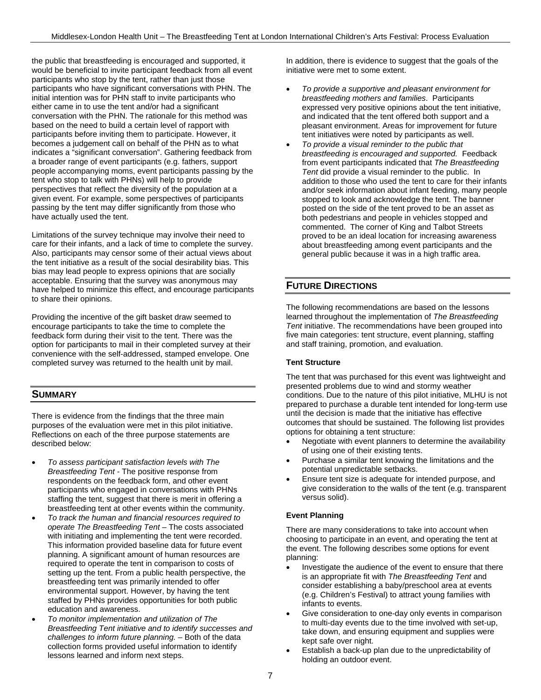the public that breastfeeding is encouraged and supported, it would be beneficial to invite participant feedback from all event participants who stop by the tent, rather than just those participants who have significant conversations with PHN. The initial intention was for PHN staff to invite participants who either came in to use the tent and/or had a significant conversation with the PHN. The rationale for this method was based on the need to build a certain level of rapport with participants before inviting them to participate. However, it becomes a judgement call on behalf of the PHN as to what indicates a "significant conversation". Gathering feedback from a broader range of event participants (e.g. fathers, support people accompanying moms, event participants passing by the tent who stop to talk with PHNs) will help to provide perspectives that reflect the diversity of the population at a given event. For example, some perspectives of participants passing by the tent may differ significantly from those who have actually used the tent.

Limitations of the survey technique may involve their need to care for their infants, and a lack of time to complete the survey. Also, participants may censor some of their actual views about the tent initiative as a result of the social desirability bias. This bias may lead people to express opinions that are socially acceptable. Ensuring that the survey was anonymous may have helped to minimize this effect, and encourage participants to share their opinions.

Providing the incentive of the gift basket draw seemed to encourage participants to take the time to complete the feedback form during their visit to the tent. There was the option for participants to mail in their completed survey at their convenience with the self-addressed, stamped envelope. One completed survey was returned to the health unit by mail.

# **SUMMARY**

There is evidence from the findings that the three main purposes of the evaluation were met in this pilot initiative. Reflections on each of the three purpose statements are described below:

- *To assess participant satisfaction levels with The Breastfeeding Tent* - The positive response from respondents on the feedback form, and other event participants who engaged in conversations with PHNs staffing the tent, suggest that there is merit in offering a breastfeeding tent at other events within the community.
- *To track the human and financial resources required to operate The Breastfeeding Tent* – The costs associated with initiating and implementing the tent were recorded. This information provided baseline data for future event planning. A significant amount of human resources are required to operate the tent in comparison to costs of setting up the tent. From a public health perspective, the breastfeeding tent was primarily intended to offer environmental support. However, by having the tent staffed by PHNs provides opportunities for both public education and awareness.
- *To monitor implementation and utilization of The Breastfeeding Tent initiative and to identify successes and challenges to inform future planning.* – Both of the data collection forms provided useful information to identify lessons learned and inform next steps.

In addition, there is evidence to suggest that the goals of the initiative were met to some extent.

- *To provide a supportive and pleasant environment for breastfeeding mothers and families*. Participants expressed very positive opinions about the tent initiative, and indicated that the tent offered both support and a pleasant environment. Areas for improvement for future tent initiatives were noted by participants as well.
- *To provide a visual reminder to the public that breastfeeding is encouraged and supported.* Feedback from event participants indicated that *The Breastfeeding Tent* did provide a visual reminder to the public. In addition to those who used the tent to care for their infants and/or seek information about infant feeding, many people stopped to look and acknowledge the tent. The banner posted on the side of the tent proved to be an asset as both pedestrians and people in vehicles stopped and commented. The corner of King and Talbot Streets proved to be an ideal location for increasing awareness about breastfeeding among event participants and the general public because it was in a high traffic area.

# **FUTURE DIRECTIONS**

The following recommendations are based on the lessons learned throughout the implementation of *The Breastfeeding Tent* initiative. The recommendations have been grouped into five main categories: tent structure, event planning, staffing and staff training, promotion, and evaluation.

## **Tent Structure**

The tent that was purchased for this event was lightweight and presented problems due to wind and stormy weather conditions. Due to the nature of this pilot initiative, MLHU is not prepared to purchase a durable tent intended for long-term use until the decision is made that the initiative has effective outcomes that should be sustained. The following list provides options for obtaining a tent structure:

- Negotiate with event planners to determine the availability of using one of their existing tents.
- Purchase a similar tent knowing the limitations and the potential unpredictable setbacks.
- Ensure tent size is adequate for intended purpose, and give consideration to the walls of the tent (e.g. transparent versus solid).

## **Event Planning**

There are many considerations to take into account when choosing to participate in an event, and operating the tent at the event. The following describes some options for event planning:

- Investigate the audience of the event to ensure that there is an appropriate fit with *The Breastfeeding Tent* and consider establishing a baby/preschool area at events (e.g. Children's Festival) to attract young families with infants to events.
- Give consideration to one-day only events in comparison to multi-day events due to the time involved with set-up, take down, and ensuring equipment and supplies were kept safe over night.
- Establish a back-up plan due to the unpredictability of holding an outdoor event.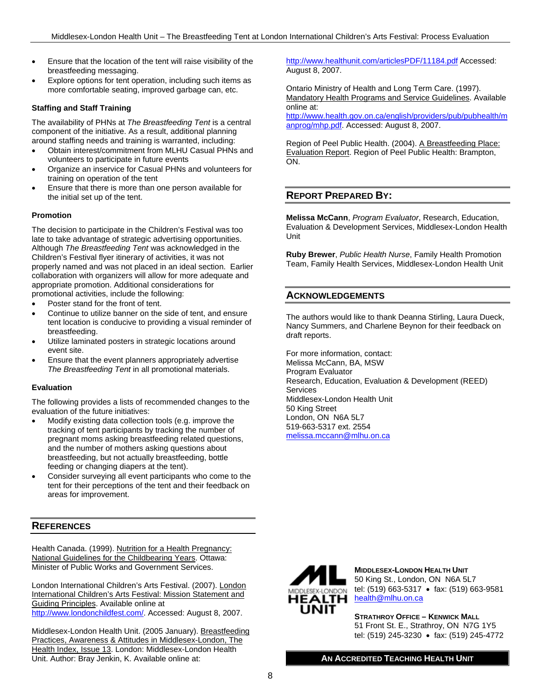- Ensure that the location of the tent will raise visibility of the breastfeeding messaging.
- Explore options for tent operation, including such items as more comfortable seating, improved garbage can, etc.

## **Staffing and Staff Training**

The availability of PHNs at *The Breastfeeding Tent* is a central component of the initiative. As a result, additional planning around staffing needs and training is warranted, including:

- Obtain interest/commitment from MLHU Casual PHNs and volunteers to participate in future events
- Organize an inservice for Casual PHNs and volunteers for training on operation of the tent
- Ensure that there is more than one person available for the initial set up of the tent.

### **Promotion**

The decision to participate in the Children's Festival was too late to take advantage of strategic advertising opportunities. Although *The Breastfeeding Tent* was acknowledged in the Children's Festival flyer itinerary of activities, it was not properly named and was not placed in an ideal section. Earlier collaboration with organizers will allow for more adequate and appropriate promotion. Additional considerations for promotional activities, include the following:

- Poster stand for the front of tent.
- Continue to utilize banner on the side of tent, and ensure tent location is conducive to providing a visual reminder of breastfeeding.
- Utilize laminated posters in strategic locations around event site.
- Ensure that the event planners appropriately advertise *The Breastfeeding Tent* in all promotional materials.

### **Evaluation**

The following provides a lists of recommended changes to the evaluation of the future initiatives:

- Modify existing data collection tools (e.g. improve the tracking of tent participants by tracking the number of pregnant moms asking breastfeeding related questions, and the number of mothers asking questions about breastfeeding, but not actually breastfeeding, bottle feeding or changing diapers at the tent).
- Consider surveying all event participants who come to the tent for their perceptions of the tent and their feedback on areas for improvement.

## **REFERENCES**

Health Canada. (1999). Nutrition for a Health Pregnancy: National Guidelines for the Childbearing Years. Ottawa: Minister of Public Works and Government Services.

London International Children's Arts Festival. (2007). London International Children's Arts Festival: Mission Statement and Guiding Principles. Available online at http://www.londonchildfest.com/. Accessed: August 8, 2007.

Middlesex-London Health Unit. (2005 January). Breastfeeding Practices, Awareness & Attitudes in Middlesex-London, The Health Index, Issue 13. London: Middlesex-London Health Unit. Author: Bray Jenkin, K. Available online at:

http://www.healthunit.com/articlesPDF/11184.pdf Accessed: August 8, 2007.

Ontario Ministry of Health and Long Term Care. (1997). Mandatory Health Programs and Service Guidelines. Available online at:

http://www.health.gov.on.ca/english/providers/pub/pubhealth/m anprog/mhp.pdf. Accessed: August 8, 2007.

Region of Peel Public Health. (2004). A Breastfeeding Place: Evaluation Report. Region of Peel Public Health: Brampton, ON.

# **REPORT PREPARED BY:**

**Melissa McCann**, *Program Evaluator*, Research, Education, Evaluation & Development Services, Middlesex-London Health Unit

**Ruby Brewer**, *Public Health Nurse*, Family Health Promotion Team, Family Health Services, Middlesex-London Health Unit

## **ACKNOWLEDGEMENTS**

The authors would like to thank Deanna Stirling, Laura Dueck, Nancy Summers, and Charlene Beynon for their feedback on draft reports.

For more information, contact: Melissa McCann, BA, MSW Program Evaluator Research, Education, Evaluation & Development (REED) Services Middlesex-London Health Unit 50 King Street London, ON N6A 5L7 519-663-5317 ext. 2554 melissa.mccann@mlhu.on.ca



**MIDDLESEX-LONDON HEALTH UNIT** 50 King St., London, ON N6A 5L7 tel: (519) 663-5317 • fax: (519) 663-9581 HEALTH health@mlhu.on.ca

> **STRATHROY OFFICE – KENWICK MALL** 51 Front St. E., Strathroy, ON N7G 1Y5 tel: (519) 245-3230 • fax: (519) 245-4772

**AN ACCREDITED TEACHING HEALTH UNIT**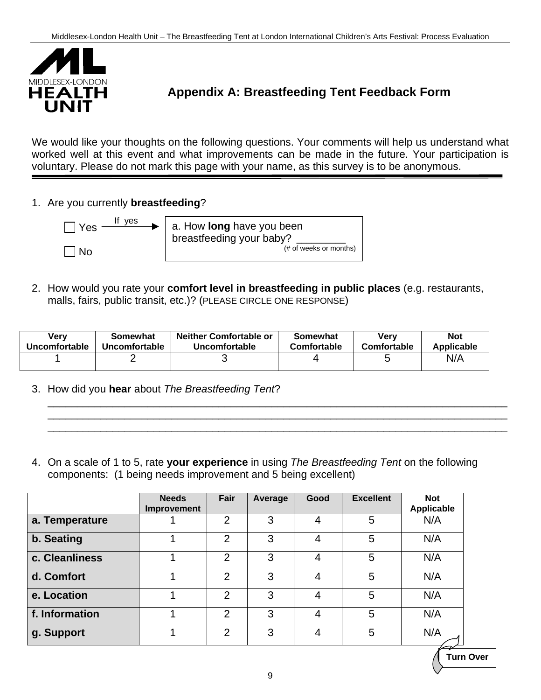

# **Appendix A: Breastfeeding Tent Feedback Form**

We would like your thoughts on the following questions. Your comments will help us understand what worked well at this event and what improvements can be made in the future. Your participation is voluntary. Please do not mark this page with your name, as this survey is to be anonymous.

1. Are you currently **breastfeeding**?



2. How would you rate your **comfort level in breastfeeding in public places** (e.g. restaurants, malls, fairs, public transit, etc.)? (PLEASE CIRCLE ONE RESPONSE)

| <b>Very</b>   | Somewhat      | <b>Neither Comfortable or</b> | Somewhat    | Verv        | <b>Not</b> |
|---------------|---------------|-------------------------------|-------------|-------------|------------|
| Uncomfortable | Uncomfortable | Uncomfortable                 | Comfortable | Comfortable | Applicable |
|               |               |                               |             |             | N/A        |

\_\_\_\_\_\_\_\_\_\_\_\_\_\_\_\_\_\_\_\_\_\_\_\_\_\_\_\_\_\_\_\_\_\_\_\_\_\_\_\_\_\_\_\_\_\_\_\_\_\_\_\_\_\_\_\_\_\_\_\_\_\_\_\_\_\_\_\_\_\_\_\_\_\_\_\_\_\_ \_\_\_\_\_\_\_\_\_\_\_\_\_\_\_\_\_\_\_\_\_\_\_\_\_\_\_\_\_\_\_\_\_\_\_\_\_\_\_\_\_\_\_\_\_\_\_\_\_\_\_\_\_\_\_\_\_\_\_\_\_\_\_\_\_\_\_\_\_\_\_\_\_\_\_\_\_\_ \_\_\_\_\_\_\_\_\_\_\_\_\_\_\_\_\_\_\_\_\_\_\_\_\_\_\_\_\_\_\_\_\_\_\_\_\_\_\_\_\_\_\_\_\_\_\_\_\_\_\_\_\_\_\_\_\_\_\_\_\_\_\_\_\_\_\_\_\_\_\_\_\_\_\_\_\_\_

- 3. How did you **hear** about *The Breastfeeding Tent*?
- 4. On a scale of 1 to 5, rate **your experience** in using *The Breastfeeding Tent* on the following components: (1 being needs improvement and 5 being excellent)

|                | <b>Needs</b><br>Improvement | Fair           | Average | Good | <b>Excellent</b> | <b>Not</b><br><b>Applicable</b> |
|----------------|-----------------------------|----------------|---------|------|------------------|---------------------------------|
| a. Temperature |                             | $\overline{2}$ | 3       | 4    | 5                | N/A                             |
| b. Seating     |                             | 2              | 3       | 4    | 5                | N/A                             |
| c. Cleanliness |                             | $\overline{2}$ | 3       | 4    | 5                | N/A                             |
| d. Comfort     |                             | 2              | 3       | 4    | 5                | N/A                             |
| e. Location    |                             | 2              | 3       | 4    | 5                | N/A                             |
| f. Information |                             | 2              | 3       | 4    | 5                | N/A                             |
| g. Support     |                             | $\overline{2}$ | 3       | 4    | 5                | N/A                             |

**Turn Over**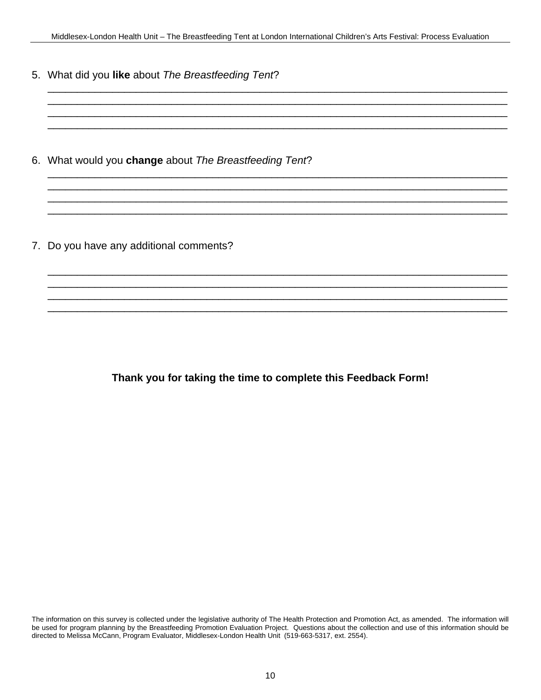\_\_\_\_\_\_\_\_\_\_\_\_\_\_\_\_\_\_\_\_\_\_\_\_\_\_\_\_\_\_\_\_\_\_\_\_\_\_\_\_\_\_\_\_\_\_\_\_\_\_\_\_\_\_\_\_\_\_\_\_\_\_\_\_\_\_\_\_\_\_\_\_\_\_\_\_\_\_ \_\_\_\_\_\_\_\_\_\_\_\_\_\_\_\_\_\_\_\_\_\_\_\_\_\_\_\_\_\_\_\_\_\_\_\_\_\_\_\_\_\_\_\_\_\_\_\_\_\_\_\_\_\_\_\_\_\_\_\_\_\_\_\_\_\_\_\_\_\_\_\_\_\_\_\_\_\_ \_\_\_\_\_\_\_\_\_\_\_\_\_\_\_\_\_\_\_\_\_\_\_\_\_\_\_\_\_\_\_\_\_\_\_\_\_\_\_\_\_\_\_\_\_\_\_\_\_\_\_\_\_\_\_\_\_\_\_\_\_\_\_\_\_\_\_\_\_\_\_\_\_\_\_\_\_\_ \_\_\_\_\_\_\_\_\_\_\_\_\_\_\_\_\_\_\_\_\_\_\_\_\_\_\_\_\_\_\_\_\_\_\_\_\_\_\_\_\_\_\_\_\_\_\_\_\_\_\_\_\_\_\_\_\_\_\_\_\_\_\_\_\_\_\_\_\_\_\_\_\_\_\_\_\_\_

\_\_\_\_\_\_\_\_\_\_\_\_\_\_\_\_\_\_\_\_\_\_\_\_\_\_\_\_\_\_\_\_\_\_\_\_\_\_\_\_\_\_\_\_\_\_\_\_\_\_\_\_\_\_\_\_\_\_\_\_\_\_\_\_\_\_\_\_\_\_\_\_\_\_\_\_\_\_ \_\_\_\_\_\_\_\_\_\_\_\_\_\_\_\_\_\_\_\_\_\_\_\_\_\_\_\_\_\_\_\_\_\_\_\_\_\_\_\_\_\_\_\_\_\_\_\_\_\_\_\_\_\_\_\_\_\_\_\_\_\_\_\_\_\_\_\_\_\_\_\_\_\_\_\_\_\_ \_\_\_\_\_\_\_\_\_\_\_\_\_\_\_\_\_\_\_\_\_\_\_\_\_\_\_\_\_\_\_\_\_\_\_\_\_\_\_\_\_\_\_\_\_\_\_\_\_\_\_\_\_\_\_\_\_\_\_\_\_\_\_\_\_\_\_\_\_\_\_\_\_\_\_\_\_\_ \_\_\_\_\_\_\_\_\_\_\_\_\_\_\_\_\_\_\_\_\_\_\_\_\_\_\_\_\_\_\_\_\_\_\_\_\_\_\_\_\_\_\_\_\_\_\_\_\_\_\_\_\_\_\_\_\_\_\_\_\_\_\_\_\_\_\_\_\_\_\_\_\_\_\_\_\_\_

\_\_\_\_\_\_\_\_\_\_\_\_\_\_\_\_\_\_\_\_\_\_\_\_\_\_\_\_\_\_\_\_\_\_\_\_\_\_\_\_\_\_\_\_\_\_\_\_\_\_\_\_\_\_\_\_\_\_\_\_\_\_\_\_\_\_\_\_\_\_\_\_\_\_\_\_\_\_ \_\_\_\_\_\_\_\_\_\_\_\_\_\_\_\_\_\_\_\_\_\_\_\_\_\_\_\_\_\_\_\_\_\_\_\_\_\_\_\_\_\_\_\_\_\_\_\_\_\_\_\_\_\_\_\_\_\_\_\_\_\_\_\_\_\_\_\_\_\_\_\_\_\_\_\_\_\_ \_\_\_\_\_\_\_\_\_\_\_\_\_\_\_\_\_\_\_\_\_\_\_\_\_\_\_\_\_\_\_\_\_\_\_\_\_\_\_\_\_\_\_\_\_\_\_\_\_\_\_\_\_\_\_\_\_\_\_\_\_\_\_\_\_\_\_\_\_\_\_\_\_\_\_\_\_\_ \_\_\_\_\_\_\_\_\_\_\_\_\_\_\_\_\_\_\_\_\_\_\_\_\_\_\_\_\_\_\_\_\_\_\_\_\_\_\_\_\_\_\_\_\_\_\_\_\_\_\_\_\_\_\_\_\_\_\_\_\_\_\_\_\_\_\_\_\_\_\_\_\_\_\_\_\_\_

5. What did you **like** about *The Breastfeeding Tent*?

6. What would you **change** about *The Breastfeeding Tent*?

7. Do you have any additional comments?

# **Thank you for taking the time to complete this Feedback Form!**

The information on this survey is collected under the legislative authority of The Health Protection and Promotion Act, as amended. The information will be used for program planning by the Breastfeeding Promotion Evaluation Project. Questions about the collection and use of this information should be directed to Melissa McCann, Program Evaluator, Middlesex-London Health Unit (519-663-5317, ext. 2554).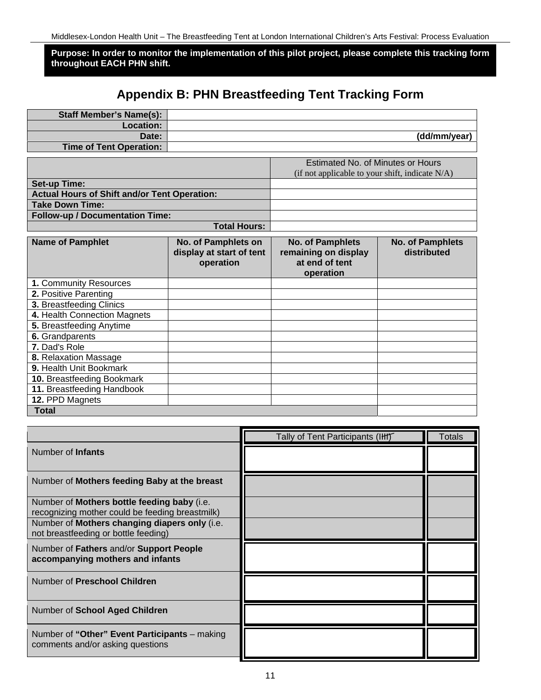**Purpose: In order to monitor the implementation of this pilot project, please complete this tracking form throughout EACH PHN shift.**

# **Appendix B: PHN Breastfeeding Tent Tracking Form**

| <b>Staff Member's Name(s):</b>                      |                                                              |                                                                                      |                                        |
|-----------------------------------------------------|--------------------------------------------------------------|--------------------------------------------------------------------------------------|----------------------------------------|
| Location:                                           |                                                              |                                                                                      |                                        |
| Date:                                               |                                                              |                                                                                      | (dd/mm/year)                           |
| <b>Time of Tent Operation:</b>                      |                                                              |                                                                                      |                                        |
|                                                     |                                                              | Estimated No. of Minutes or Hours<br>(if not applicable to your shift, indicate N/A) |                                        |
| <b>Set-up Time:</b>                                 |                                                              |                                                                                      |                                        |
| <b>Actual Hours of Shift and/or Tent Operation:</b> |                                                              |                                                                                      |                                        |
| <b>Take Down Time:</b>                              |                                                              |                                                                                      |                                        |
| <b>Follow-up / Documentation Time:</b>              |                                                              |                                                                                      |                                        |
|                                                     | <b>Total Hours:</b>                                          |                                                                                      |                                        |
| <b>Name of Pamphlet</b>                             | No. of Pamphlets on<br>display at start of tent<br>operation | <b>No. of Pamphlets</b><br>remaining on display<br>at end of tent<br>operation       | <b>No. of Pamphlets</b><br>distributed |
| 1. Community Resources                              |                                                              |                                                                                      |                                        |
| 2. Positive Parenting                               |                                                              |                                                                                      |                                        |
| 3. Breastfeeding Clinics                            |                                                              |                                                                                      |                                        |
| 4. Health Connection Magnets                        |                                                              |                                                                                      |                                        |
| 5. Breastfeeding Anytime                            |                                                              |                                                                                      |                                        |
| 6. Grandparents                                     |                                                              |                                                                                      |                                        |
| 7. Dad's Role                                       |                                                              |                                                                                      |                                        |
| 8. Relaxation Massage                               |                                                              |                                                                                      |                                        |
| 9. Health Unit Bookmark                             |                                                              |                                                                                      |                                        |
| 10. Breastfeeding Bookmark                          |                                                              |                                                                                      |                                        |
| 11. Breastfeeding Handbook                          |                                                              |                                                                                      |                                        |
| 12. PPD Magnets                                     |                                                              |                                                                                      |                                        |
| <b>Total</b>                                        |                                                              |                                                                                      |                                        |
|                                                     |                                                              |                                                                                      |                                        |
|                                                     |                                                              | Tally of Tent Participants (IHI)                                                     | <b>Totals</b>                          |
| Number of Infants                                   |                                                              |                                                                                      |                                        |
| Number of Mothers feeding Baby at the breast        |                                                              |                                                                                      |                                        |
| Number of Mothers hottle feeding baby (i e)         |                                                              |                                                                                      |                                        |